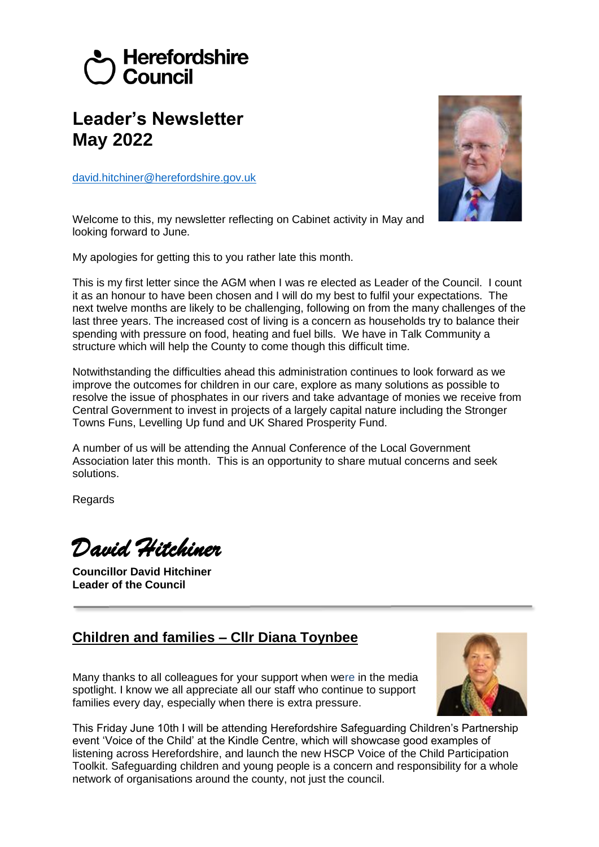# Herefordshire Council

# **Leader's Newsletter May 2022**

[david.hitchiner@herefordshire.gov.uk](mailto:david.hitchiner@herefordshire.gov.uk)



Welcome to this, my newsletter reflecting on Cabinet activity in May and looking forward to June.

My apologies for getting this to you rather late this month.

This is my first letter since the AGM when I was re elected as Leader of the Council. I count it as an honour to have been chosen and I will do my best to fulfil your expectations. The next twelve months are likely to be challenging, following on from the many challenges of the last three years. The increased cost of living is a concern as households try to balance their spending with pressure on food, heating and fuel bills. We have in Talk Community a structure which will help the County to come though this difficult time.

Notwithstanding the difficulties ahead this administration continues to look forward as we improve the outcomes for children in our care, explore as many solutions as possible to resolve the issue of phosphates in our rivers and take advantage of monies we receive from Central Government to invest in projects of a largely capital nature including the Stronger Towns Funs, Levelling Up fund and UK Shared Prosperity Fund.

A number of us will be attending the Annual Conference of the Local Government Association later this month. This is an opportunity to share mutual concerns and seek solutions.

Regards

*David Hitchiner*

**Councillor David Hitchiner Leader of the Council**

# **Children and families – Cllr Diana Toynbee**

Many thanks to all colleagues for your support when were in the media spotlight. I know we all appreciate all our staff who continue to support families every day, especially when there is extra pressure.



This Friday June 10th I will be attending Herefordshire Safeguarding Children's Partnership event 'Voice of the Child' at the Kindle Centre, which will showcase good examples of listening across Herefordshire, and launch the new HSCP Voice of the Child Participation Toolkit. Safeguarding children and young people is a concern and responsibility for a whole network of organisations around the county, not just the council.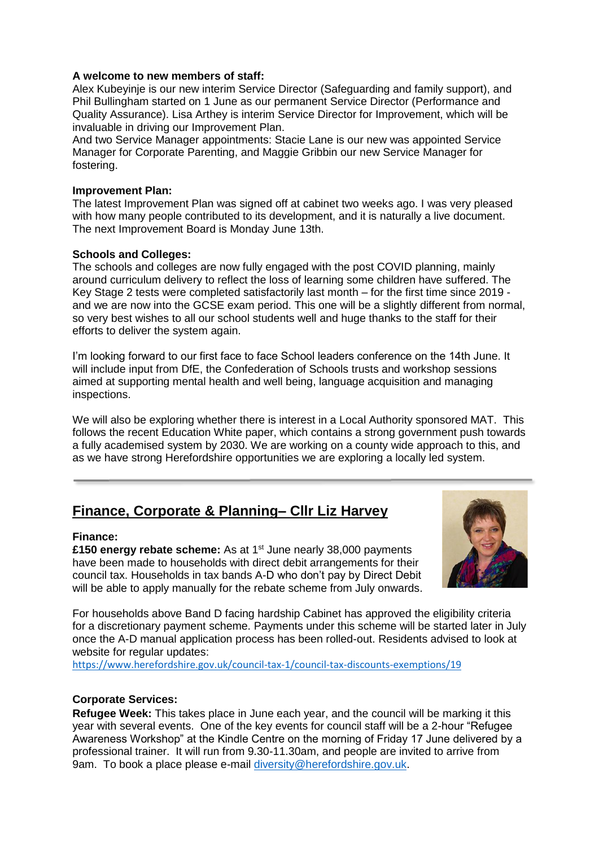#### **A welcome to new members of staff:**

Alex Kubeyinje is our new interim Service Director (Safeguarding and family support), and Phil Bullingham started on 1 June as our permanent Service Director (Performance and Quality Assurance). Lisa Arthey is interim Service Director for Improvement, which will be invaluable in driving our Improvement Plan.

And two Service Manager appointments: Stacie Lane is our new was appointed Service Manager for Corporate Parenting, and Maggie Gribbin our new Service Manager for fostering.

#### **Improvement Plan:**

The latest Improvement Plan was signed off at cabinet two weeks ago. I was very pleased with how many people contributed to its development, and it is naturally a live document. The next Improvement Board is Monday June 13th.

## **Schools and Colleges:**

The schools and colleges are now fully engaged with the post COVID planning, mainly around curriculum delivery to reflect the loss of learning some children have suffered. The Key Stage 2 tests were completed satisfactorily last month – for the first time since 2019 and we are now into the GCSE exam period. This one will be a slightly different from normal, so very best wishes to all our school students well and huge thanks to the staff for their efforts to deliver the system again.

I'm looking forward to our first face to face School leaders conference on the 14th June. It will include input from DfE, the Confederation of Schools trusts and workshop sessions aimed at supporting mental health and well being, language acquisition and managing inspections.

We will also be exploring whether there is interest in a Local Authority sponsored MAT. This follows the recent Education White paper, which contains a strong government push towards a fully academised system by 2030. We are working on a county wide approach to this, and as we have strong Herefordshire opportunities we are exploring a locally led system.

# **Finance, Corporate & Planning– Cllr Liz Harvey**

#### **Finance:**

**£150 energy rebate scheme:** As at 1<sup>st</sup> June nearly 38,000 payments have been made to households with direct debit arrangements for their council tax. Households in tax bands A-D who don't pay by Direct Debit will be able to apply manually for the rebate scheme from July onwards.



For households above Band D facing hardship Cabinet has approved the eligibility criteria for a discretionary payment scheme. Payments under this scheme will be started later in July once the A-D manual application process has been rolled-out. Residents advised to look at website for regular updates:

<https://www.herefordshire.gov.uk/council-tax-1/council-tax-discounts-exemptions/19>

## **Corporate Services:**

**Refugee Week:** This takes place in June each year, and the council will be marking it this year with several events. One of the key events for council staff will be a 2-hour "Refugee Awareness Workshop" at the Kindle Centre on the morning of Friday 17 June delivered by a professional trainer. It will run from 9.30-11.30am, and people are invited to arrive from 9am. To book a place please e-mail [diversity@herefordshire.gov.uk.](mailto:diversity@herefordshire.gov.uk)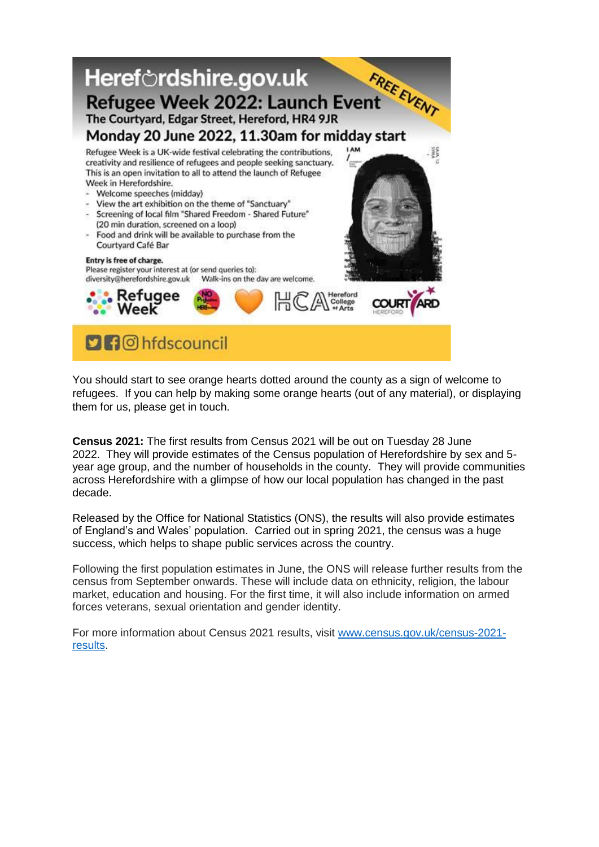

You should start to see orange hearts dotted around the county as a sign of welcome to refugees. If you can help by making some orange hearts (out of any material), or displaying them for us, please get in touch.

**Census 2021:** The first results from Census 2021 will be out on Tuesday 28 June 2022. They will provide estimates of the Census population of Herefordshire by sex and 5 year age group, and the number of households in the county. They will provide communities across Herefordshire with a glimpse of how our local population has changed in the past decade.

Released by the Office for National Statistics (ONS), the results will also provide estimates of England's and Wales' population. Carried out in spring 2021, the census was a huge success, which helps to shape public services across the country.

Following the first population estimates in June, the ONS will release further results from the census from September onwards. These will include data on ethnicity, religion, the labour market, education and housing. For the first time, it will also include information on armed forces veterans, sexual orientation and gender identity.

For more information about Census 2021 results, visit [www.census.gov.uk/census-2021](http://www.census.gov.uk/census-2021-results) [results.](http://www.census.gov.uk/census-2021-results)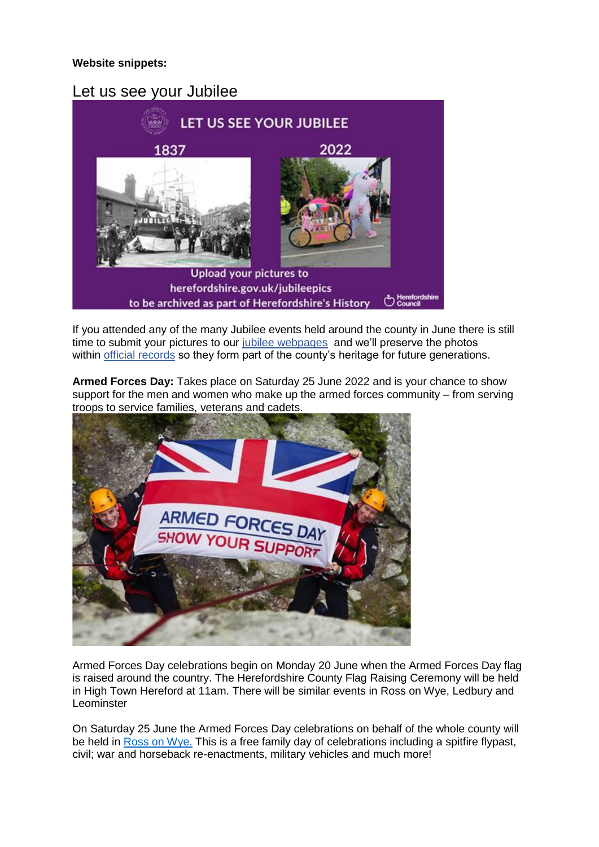# **Website snippets:**

# Let us see your Jubilee



If you attended any of the many Jubilee events held around the county in June there is still time to submit your pictures to our [jubilee webpages](https://www.herefordshire.gov.uk/things/platinum-jubilee/3) and we'll preserve the photos within [official records](https://herefordshirehistory.org.uk/about) so they form part of the county's heritage for future generations.

**Armed Forces Day:** Takes place on Saturday 25 June 2022 and is your chance to show support for the men and women who make up the armed forces community – from serving troops to service families, veterans and cadets.



Armed Forces Day celebrations begin on Monday 20 June when the Armed Forces Day flag is raised around the country. The Herefordshire County Flag Raising Ceremony will be held in High Town Hereford at 11am. There will be similar events in Ross on Wye, Ledbury and Leominster

On Saturday 25 June the Armed Forces Day celebrations on behalf of the whole county will be held in [Ross on Wye.](https://www.rosstc-herefordshire.gov.uk/?news=ross-on-wye-armed-forces-day-2022) This is a free family day of celebrations including a spitfire flypast, civil; war and horseback re-enactments, military vehicles and much more!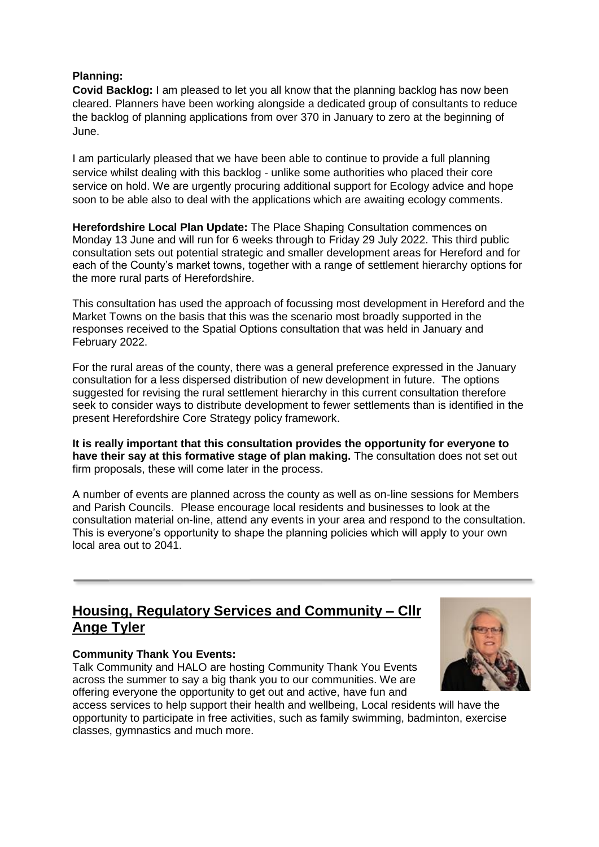# **Planning:**

**Covid Backlog:** I am pleased to let you all know that the planning backlog has now been cleared. Planners have been working alongside a dedicated group of consultants to reduce the backlog of planning applications from over 370 in January to zero at the beginning of June.

I am particularly pleased that we have been able to continue to provide a full planning service whilst dealing with this backlog - unlike some authorities who placed their core service on hold. We are urgently procuring additional support for Ecology advice and hope soon to be able also to deal with the applications which are awaiting ecology comments.

**Herefordshire Local Plan Update:** The Place Shaping Consultation commences on Monday 13 June and will run for 6 weeks through to Friday 29 July 2022. This third public consultation sets out potential strategic and smaller development areas for Hereford and for each of the County's market towns, together with a range of settlement hierarchy options for the more rural parts of Herefordshire.

This consultation has used the approach of focussing most development in Hereford and the Market Towns on the basis that this was the scenario most broadly supported in the responses received to the Spatial Options consultation that was held in January and February 2022.

For the rural areas of the county, there was a general preference expressed in the January consultation for a less dispersed distribution of new development in future. The options suggested for revising the rural settlement hierarchy in this current consultation therefore seek to consider ways to distribute development to fewer settlements than is identified in the present Herefordshire Core Strategy policy framework.

**It is really important that this consultation provides the opportunity for everyone to have their say at this formative stage of plan making.** The consultation does not set out firm proposals, these will come later in the process.

A number of events are planned across the county as well as on-line sessions for Members and Parish Councils. Please encourage local residents and businesses to look at the consultation material on-line, attend any events in your area and respond to the consultation. This is everyone's opportunity to shape the planning policies which will apply to your own local area out to 2041.

# **Housing, Regulatory Services and Community – Cllr Ange Tyler**

## **Community Thank You Events:**

Talk Community and HALO are hosting Community Thank You Events across the summer to say a big thank you to our communities. We are offering everyone the opportunity to get out and active, have fun and



access services to help support their health and wellbeing, Local residents will have the opportunity to participate in free activities, such as family swimming, badminton, exercise classes, gymnastics and much more.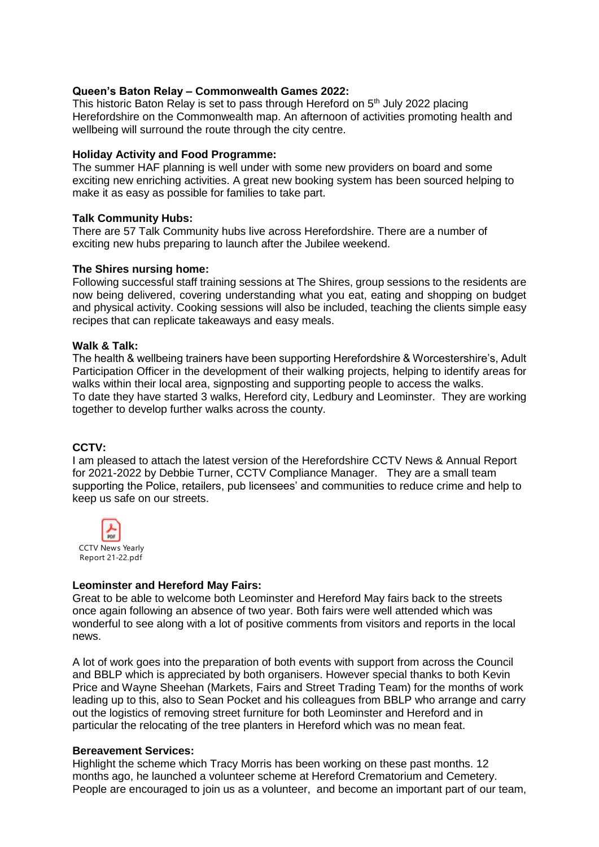#### **Queen's Baton Relay – Commonwealth Games 2022:**

This historic Baton Relay is set to pass through Hereford on  $5<sup>th</sup>$  July 2022 placing Herefordshire on the Commonwealth map. An afternoon of activities promoting health and wellbeing will surround the route through the city centre.

#### **Holiday Activity and Food Programme:**

The summer HAF planning is well under with some new providers on board and some exciting new enriching activities. A great new booking system has been sourced helping to make it as easy as possible for families to take part.

#### **Talk Community Hubs:**

There are 57 Talk Community hubs live across Herefordshire. There are a number of exciting new hubs preparing to launch after the Jubilee weekend.

#### **The Shires nursing home:**

Following successful staff training sessions at The Shires, group sessions to the residents are now being delivered, covering understanding what you eat, eating and shopping on budget and physical activity. Cooking sessions will also be included, teaching the clients simple easy recipes that can replicate takeaways and easy meals.

#### **Walk & Talk:**

The health & wellbeing trainers have been supporting Herefordshire & Worcestershire's, Adult Participation Officer in the development of their walking projects, helping to identify areas for walks within their local area, signposting and supporting people to access the walks. To date they have started 3 walks, Hereford city, Ledbury and Leominster. They are working together to develop further walks across the county.

## **CCTV:**

I am pleased to attach the latest version of the Herefordshire CCTV News & Annual Report for 2021-2022 by Debbie Turner, CCTV Compliance Manager. They are a small team supporting the Police, retailers, pub licensees' and communities to reduce crime and help to keep us safe on our streets.



## **Leominster and Hereford May Fairs:**

Great to be able to welcome both Leominster and Hereford May fairs back to the streets once again following an absence of two year. Both fairs were well attended which was wonderful to see along with a lot of positive comments from visitors and reports in the local news.

A lot of work goes into the preparation of both events with support from across the Council and BBLP which is appreciated by both organisers. However special thanks to both Kevin Price and Wayne Sheehan (Markets, Fairs and Street Trading Team) for the months of work leading up to this, also to Sean Pocket and his colleagues from BBLP who arrange and carry out the logistics of removing street furniture for both Leominster and Hereford and in particular the relocating of the tree planters in Hereford which was no mean feat.

## **Bereavement Services:**

Highlight the scheme which Tracy Morris has been working on these past months. 12 months ago, he launched a volunteer scheme at Hereford Crematorium and Cemetery. People are encouraged to join us as a volunteer, and become an important part of our team,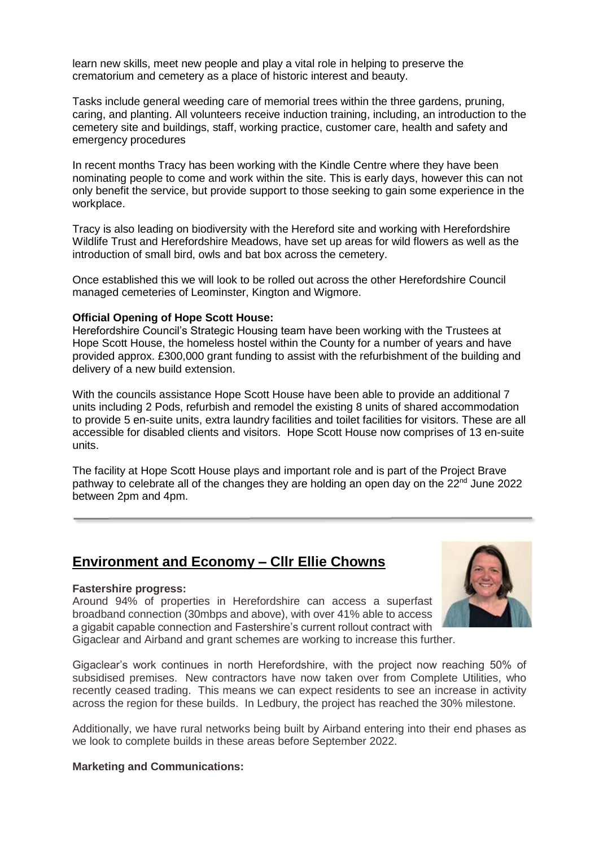learn new skills, meet new people and play a vital role in helping to preserve the crematorium and cemetery as a place of historic interest and beauty.

Tasks include general weeding care of memorial trees within the three gardens, pruning, caring, and planting. All volunteers receive induction training, including, an introduction to the cemetery site and buildings, staff, working practice, customer care, health and safety and emergency procedures

In recent months Tracy has been working with the Kindle Centre where they have been nominating people to come and work within the site. This is early days, however this can not only benefit the service, but provide support to those seeking to gain some experience in the workplace.

Tracy is also leading on biodiversity with the Hereford site and working with Herefordshire Wildlife Trust and Herefordshire Meadows, have set up areas for wild flowers as well as the introduction of small bird, owls and bat box across the cemetery.

Once established this we will look to be rolled out across the other Herefordshire Council managed cemeteries of Leominster, Kington and Wigmore.

#### **Official Opening of Hope Scott House:**

Herefordshire Council's Strategic Housing team have been working with the Trustees at Hope Scott House, the homeless hostel within the County for a number of years and have provided approx. £300,000 grant funding to assist with the refurbishment of the building and delivery of a new build extension.

With the councils assistance Hope Scott House have been able to provide an additional 7 units including 2 Pods, refurbish and remodel the existing 8 units of shared accommodation to provide 5 en-suite units, extra laundry facilities and toilet facilities for visitors. These are all accessible for disabled clients and visitors. Hope Scott House now comprises of 13 en-suite units.

The facility at Hope Scott House plays and important role and is part of the Project Brave pathway to celebrate all of the changes they are holding an open day on the 22<sup>nd</sup> June 2022 between 2pm and 4pm.

# **Environment and Economy – Cllr Ellie Chowns**

#### **Fastershire progress:**

Around 94% of properties in Herefordshire can access a superfast broadband connection (30mbps and above), with over 41% able to access a gigabit capable connection and Fastershire's current rollout contract with Gigaclear and Airband and grant schemes are working to increase this further.



Gigaclear's work continues in north Herefordshire, with the project now reaching 50% of subsidised premises. New contractors have now taken over from Complete Utilities, who recently ceased trading. This means we can expect residents to see an increase in activity

across the region for these builds. In Ledbury, the project has reached the 30% milestone.

Additionally, we have rural networks being built by Airband entering into their end phases as we look to complete builds in these areas before September 2022.

#### **Marketing and Communications:**